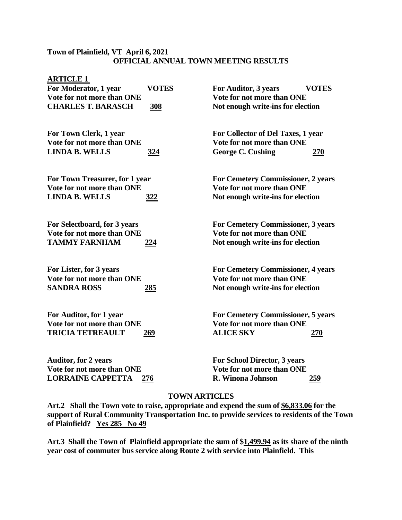## **Town of Plainfield, VT April 6, 2021 OFFICIAL ANNUAL TOWN MEETING RESULTS**

| <b>ARTICLE 1</b>               |              |                                           |              |
|--------------------------------|--------------|-------------------------------------------|--------------|
| For Moderator, 1 year          | <b>VOTES</b> | For Auditor, 3 years                      | <b>VOTES</b> |
| Vote for not more than ONE     |              | Vote for not more than ONE                |              |
| <b>CHARLES T. BARASCH</b>      | <u>308</u>   | Not enough write-ins for election         |              |
| For Town Clerk, 1 year         |              | For Collector of Del Taxes, 1 year        |              |
| Vote for not more than ONE     |              | Vote for not more than ONE                |              |
| <b>LINDA B. WELLS</b>          | <u>324</u>   | <b>George C. Cushing</b>                  | <u>270</u>   |
| For Town Treasurer, for 1 year |              | <b>For Cemetery Commissioner, 2 years</b> |              |
| Vote for not more than ONE     |              | Vote for not more than ONE                |              |
| <b>LINDA B. WELLS</b>          | <u>322</u>   | Not enough write-ins for election         |              |
| For Selectboard, for 3 years   |              | <b>For Cemetery Commissioner, 3 years</b> |              |
| Vote for not more than ONE     |              | Vote for not more than ONE                |              |
| <b>TAMMY FARNHAM</b>           | <u>224</u>   | Not enough write-ins for election         |              |
| For Lister, for 3 years        |              | <b>For Cemetery Commissioner, 4 years</b> |              |
| Vote for not more than ONE     |              | Vote for not more than ONE                |              |
| <b>SANDRA ROSS</b>             | <u>285</u>   | Not enough write-ins for election         |              |
| For Auditor, for 1 year        |              | <b>For Cemetery Commissioner, 5 years</b> |              |
| Vote for not more than ONE     |              | Vote for not more than ONE                |              |
| <b>TRICIA TETREAULT</b>        | <u> 269</u>  | <b>ALICE SKY</b>                          | <u> 270</u>  |
| <b>Auditor, for 2 years</b>    |              | <b>For School Director, 3 years</b>       |              |
| Vote for not more than ONE     |              | Vote for not more than ONE                |              |
| <b>LORRAINE CAPPETTA</b>       | 276          | R. Winona Johnson                         | 259          |

## **TOWN ARTICLES**

**Art.2 Shall the Town vote to raise, appropriate and expend the sum of \$6,833.06 for the support of Rural Community Transportation Inc. to provide services to residents of the Town of Plainfield? Yes 285 No 49**

**Art.3 Shall the Town of Plainfield appropriate the sum of \$1,499.94 as its share of the ninth year cost of commuter bus service along Route 2 with service into Plainfield. This**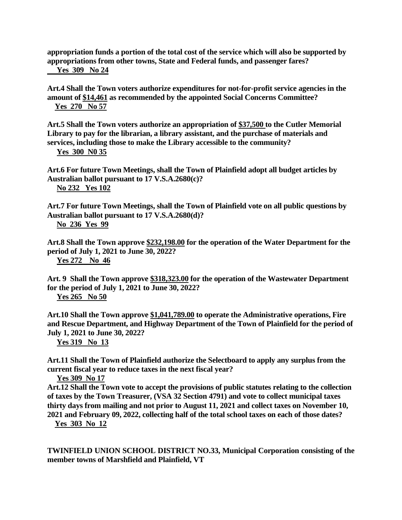**appropriation funds a portion of the total cost of the service which will also be supported by appropriations from other towns, State and Federal funds, and passenger fares? Yes 309 No 24**

**Art.4 Shall the Town voters authorize expenditures for not-for-profit service agencies in the amount of \$14,461 as recommended by the appointed Social Concerns Committee? Yes 270 No 57**

**Art.5 Shall the Town voters authorize an appropriation of \$37,500 to the Cutler Memorial Library to pay for the librarian, a library assistant, and the purchase of materials and services, including those to make the Library accessible to the community?**

 **Yes 300 N0 35**

**Art.6 For future Town Meetings, shall the Town of Plainfield adopt all budget articles by Australian ballot pursuant to 17 V.S.A.2680(c)? No 232 Yes 102**

**Art.7 For future Town Meetings, shall the Town of Plainfield vote on all public questions by Australian ballot pursuant to 17 V.S.A.2680(d)? No 236 Yes 99**

**Art.8 Shall the Town approve \$232,198.00 for the operation of the Water Department for the period of July 1, 2021 to June 30, 2022? Yes 272 No 46**

**Art. 9 Shall the Town approve \$318,323.00 for the operation of the Wastewater Department for the period of July 1, 2021 to June 30, 2022?**

 **Yes 265 No 50**

**Art.10 Shall the Town approve \$1,041,789.00 to operate the Administrative operations, Fire and Rescue Department, and Highway Department of the Town of Plainfield for the period of July 1, 2021 to June 30, 2022?** 

 **Yes 319 No 13**

**Art.11 Shall the Town of Plainfield authorize the Selectboard to apply any surplus from the current fiscal year to reduce taxes in the next fiscal year?**

 **Yes 309 No 17**

**Art.12 Shall the Town vote to accept the provisions of public statutes relating to the collection of taxes by the Town Treasurer, (VSA 32 Section 4791) and vote to collect municipal taxes thirty days from mailing and not prior to August 11, 2021 and collect taxes on November 10, 2021 and February 09, 2022, collecting half of the total school taxes on each of those dates?** 

 **Yes 303 No 12**

**TWINFIELD UNION SCHOOL DISTRICT NO.33, Municipal Corporation consisting of the member towns of Marshfield and Plainfield, VT**